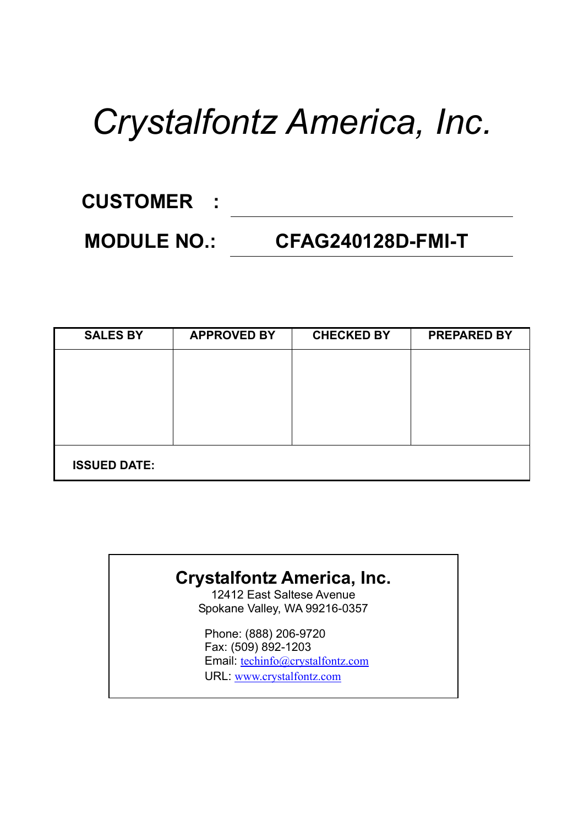# *Crystalfontz America, Inc.*

## **CUSTOMER :**

### **MODULE NO.: CFAG240128D-FMI-T**

| <b>SALES BY</b>     | <b>APPROVED BY</b> | <b>CHECKED BY</b> | <b>PREPARED BY</b> |
|---------------------|--------------------|-------------------|--------------------|
|                     |                    |                   |                    |
|                     |                    |                   |                    |
|                     |                    |                   |                    |
|                     |                    |                   |                    |
|                     |                    |                   |                    |
| <b>ISSUED DATE:</b> |                    |                   |                    |

### **Crystalfontz America, Inc.**

12412 East Saltese Avenue Spokane Valley, WA 99216-0357

Phone: (888) 206-9720 Fax: (509) 892-1203 Email: techinfo@crystalfontz.com URL: www.crystalfontz.com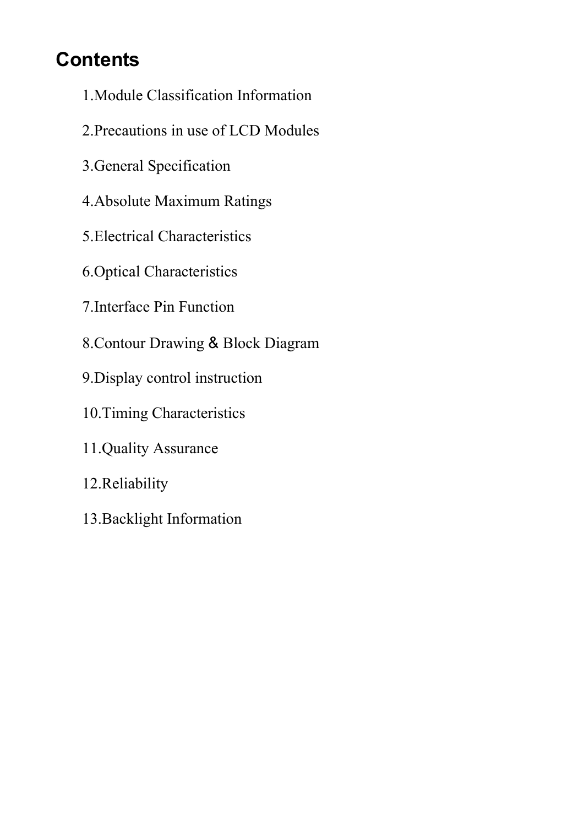### **Contents**

- 1.Module Classification Information
- 2.Precautions in use of LCD Modules
- 3.General Specification
- 4.Absolute Maximum Ratings
- 5.Electrical Characteristics
- 6.Optical Characteristics
- 7.Interface Pin Function
- 8.Contour Drawing & Block Diagram
- 9.Display control instruction
- 10.Timing Characteristics
- 11.Quality Assurance
- 12.Reliability
- 13.Backlight Information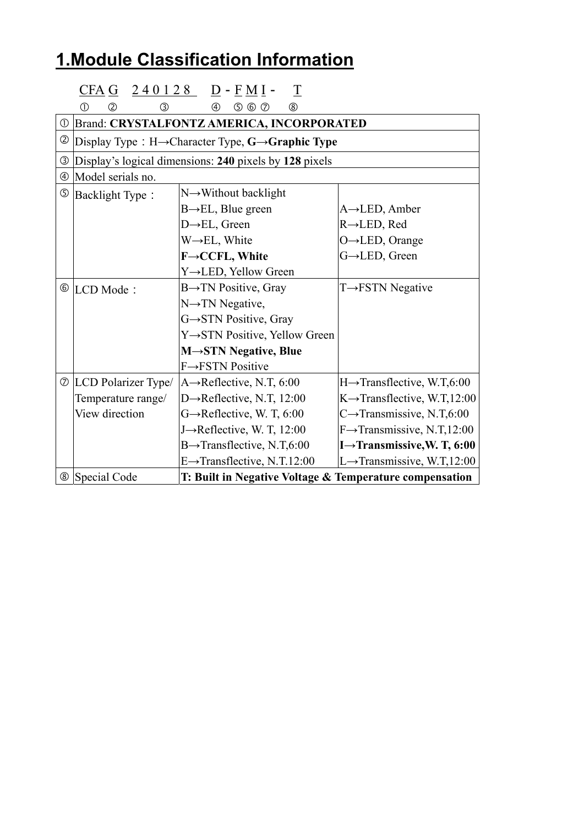## **1.Module Classification Information**

|                | <u>CFA G</u>                                                               | $240128$ D - FMI -<br>$\overline{\perp}$                  |                                          |  |  |  |  |  |  |  |
|----------------|----------------------------------------------------------------------------|-----------------------------------------------------------|------------------------------------------|--|--|--|--|--|--|--|
|                | $^\circledR$<br>$\circled{2}$<br>③                                         | $\circledcirc$ $\circledcirc$<br>$(\delta)$<br>④          |                                          |  |  |  |  |  |  |  |
|                |                                                                            | <b><i>① Brand: CRYSTALFONTZ AMERICA, INCORPORATED</i></b> |                                          |  |  |  |  |  |  |  |
| ②              | Display Type: $H \rightarrow$ Character Type, $G \rightarrow$ Graphic Type |                                                           |                                          |  |  |  |  |  |  |  |
| ③              | Display's logical dimensions: 240 pixels by 128 pixels                     |                                                           |                                          |  |  |  |  |  |  |  |
| $^{\circledR}$ | Model serials no.                                                          |                                                           |                                          |  |  |  |  |  |  |  |
| $\circledS$    | <b>Backlight Type:</b>                                                     | $N \rightarrow W$ ithout backlight                        |                                          |  |  |  |  |  |  |  |
|                |                                                                            | $B \rightarrow EL$ , Blue green                           | $A \rightarrow$ LED, Amber               |  |  |  |  |  |  |  |
|                |                                                                            | $D \rightarrow EL$ , Green                                | $R \rightarrow$ LED, Red                 |  |  |  |  |  |  |  |
|                |                                                                            | $W \rightarrow EL$ , White                                | $O \rightarrow$ LED, Orange              |  |  |  |  |  |  |  |
|                |                                                                            | F→CCFL, White                                             | G→LED, Green                             |  |  |  |  |  |  |  |
|                |                                                                            | Y→LED, Yellow Green                                       |                                          |  |  |  |  |  |  |  |
|                | <sup>6</sup> LCD Mode:                                                     | $B \rightarrow TN$ Positive, Gray                         | $T \rightarrow FSTN$ Negative            |  |  |  |  |  |  |  |
|                |                                                                            | $N \rightarrow TN$ Negative,                              |                                          |  |  |  |  |  |  |  |
|                |                                                                            | G→STN Positive, Gray                                      |                                          |  |  |  |  |  |  |  |
|                |                                                                            | Y→STN Positive, Yellow Green                              |                                          |  |  |  |  |  |  |  |
|                |                                                                            | $M \rightarrow STN$ Negative, Blue                        |                                          |  |  |  |  |  |  |  |
|                |                                                                            | $F \rightarrow FSTN$ Positive                             |                                          |  |  |  |  |  |  |  |
|                | $\circ$ LCD Polarizer Type/                                                | $A \rightarrow$ Reflective, N.T, 6:00                     | $H \rightarrow$ Transflective, W.T,6:00  |  |  |  |  |  |  |  |
|                | Temperature range/                                                         | D $\rightarrow$ Reflective, N.T, 12:00                    | $K \rightarrow$ Transflective, W.T,12:00 |  |  |  |  |  |  |  |
|                | View direction                                                             | $G \rightarrow$ Reflective, W. T, 6:00                    | $C \rightarrow$ Transmissive, N.T,6:00   |  |  |  |  |  |  |  |
|                |                                                                            | J->Reflective, W. T, 12:00                                | $F \rightarrow$ Transmissive, N.T,12:00  |  |  |  |  |  |  |  |
|                |                                                                            | $B \rightarrow$ Transflective, N.T,6:00                   | I $\rightarrow$ Transmissive, W. T, 6:00 |  |  |  |  |  |  |  |
|                |                                                                            | $E \rightarrow$ Transflective, N.T.12:00                  | L $\rightarrow$ Transmissive, W.T,12:00  |  |  |  |  |  |  |  |
|                | <sup>8</sup> Special Code                                                  | T: Built in Negative Voltage & Temperature compensation   |                                          |  |  |  |  |  |  |  |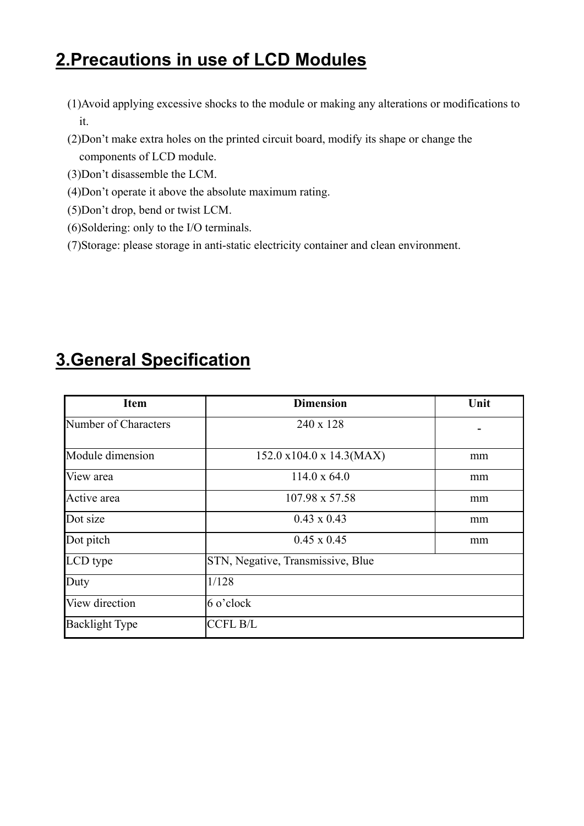### **2.Precautions in use of LCD Modules**

- (1)Avoid applying excessive shocks to the module or making any alterations or modifications to it.
- (2)Don't make extra holes on the printed circuit board, modify its shape or change the components of LCD module.
- (3)Don't disassemble the LCM.
- (4)Don't operate it above the absolute maximum rating.
- (5)Don't drop, bend or twist LCM.
- (6)Soldering: only to the I/O terminals.
- (7)Storage: please storage in anti-static electricity container and clean environment.

| <b>Item</b>           | <b>Dimension</b>                  | Unit |
|-----------------------|-----------------------------------|------|
| Number of Characters  | 240 x 128                         |      |
| Module dimension      | 152.0 x104.0 x 14.3(MAX)          | mm   |
| View area             | $114.0 \times 64.0$               | mm   |
| Active area           | 107.98 x 57.58                    | mm   |
| Dot size              | $0.43 \times 0.43$                | mm   |
| Dot pitch             | $0.45 \times 0.45$                | mm   |
| LCD type              | STN, Negative, Transmissive, Blue |      |
| Duty                  | 1/128                             |      |
| View direction        | $6$ o'clock                       |      |
| <b>Backlight Type</b> | <b>CCFL B/L</b>                   |      |

### **3.General Specification**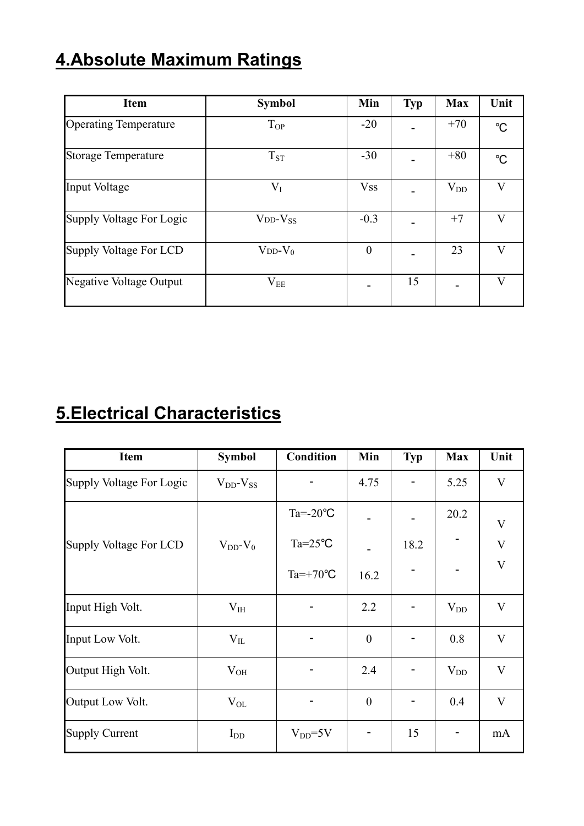### **4.Absolute Maximum Ratings**

| <b>Item</b>                    | <b>Symbol</b>    | Min        | <b>Typ</b> | <b>Max</b> | Unit        |
|--------------------------------|------------------|------------|------------|------------|-------------|
| <b>Operating Temperature</b>   | $T_{OP}$         | $-20$      |            | $+70$      | $^{\circ}C$ |
| <b>Storage Temperature</b>     | $T_{ST}$         | $-30$      |            | $+80$      | °C          |
| Input Voltage                  | $\rm V_I$        | <b>Vss</b> |            | $V_{DD}$   | V           |
| Supply Voltage For Logic       | $VDD-VSS$        | $-0.3$     |            | $+7$       | V           |
| Supply Voltage For LCD         | $V_{DD}$ - $V_0$ | $\theta$   |            | 23         | V           |
| <b>Negative Voltage Output</b> | $\rm V_{EE}$     |            | 15         |            | V           |

### **5.Electrical Characteristics**

| <b>Item</b>              | <b>Symbol</b>       | <b>Condition</b>   | Min              | <b>Typ</b> | <b>Max</b> | Unit                    |
|--------------------------|---------------------|--------------------|------------------|------------|------------|-------------------------|
| Supply Voltage For Logic | $V_{DD}$ - $V_{SS}$ |                    | 4.75             |            | 5.25       | V                       |
|                          |                     | $Ta = -20$ °C      |                  |            | 20.2       | $\overline{\mathsf{V}}$ |
| Supply Voltage For LCD   | $V_{DD}$ - $V_0$    | $Ta = 25^{\circ}C$ |                  | 18.2       |            | V                       |
|                          |                     | $Ta=+70^{\circ}C$  | 16.2             |            |            | $\overline{\mathbf{V}}$ |
| Input High Volt.         | $V_{IH}$            |                    | 2.2              |            | $V_{DD}$   | $\mathbf{V}$            |
| Input Low Volt.          | $V_{IL}$            |                    | $\boldsymbol{0}$ |            | 0.8        | $\mathbf{V}$            |
| Output High Volt.        | $V_{OH}$            |                    | 2.4              |            | $V_{DD}$   | $\mathbf{V}$            |
| Output Low Volt.         | $\rm V_{OL}$        |                    | $\boldsymbol{0}$ |            | 0.4        | $\mathbf{V}$            |
| <b>Supply Current</b>    | $I_{DD}$            | $V_{DD} = 5V$      |                  | 15         |            | mA                      |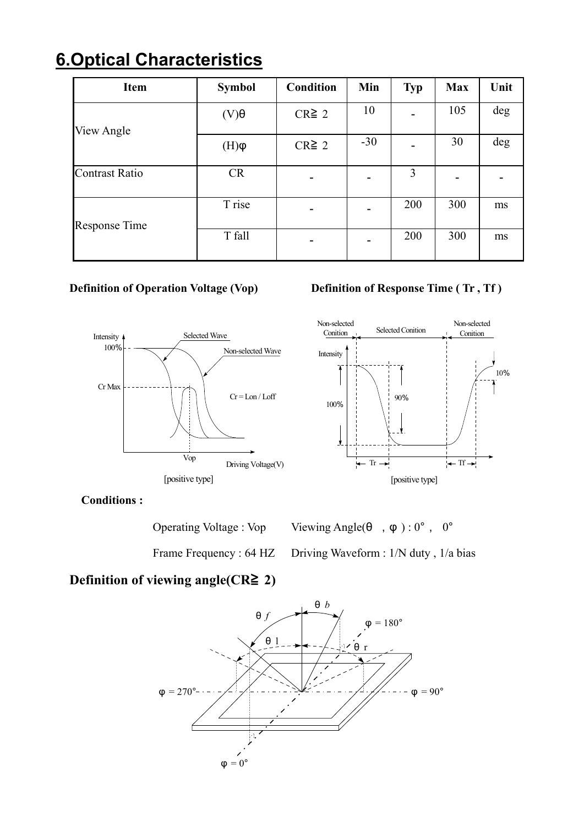### **6.Optical Characteristics**

| <b>Item</b>           | <b>Symbol</b> | <b>Condition</b> | Min   | <b>Typ</b> | <b>Max</b> | Unit |
|-----------------------|---------------|------------------|-------|------------|------------|------|
| View Angle            | $(V)\theta$   | $CR \geq 2$      | 10    |            | 105        | deg  |
|                       | $\phi$ (H)    | $CR \geq 2$      | $-30$ |            | 30         | deg  |
| <b>Contrast Ratio</b> | <b>CR</b>     |                  |       | 3          |            |      |
| <b>Response Time</b>  | T rise        |                  |       | 200        | 300        | ms   |
|                       | T fall        |                  |       | 200        | 300        | ms   |



#### **Definition of Operation Voltage (Vop)** Definition of Response Time (Tr, Tf)



**Conditions :** 

| <b>Operating Voltage: Vop</b> | Viewing Angle( $\theta$ , $\varphi$ ): $0^{\circ}$ , $0^{\circ}$ |
|-------------------------------|------------------------------------------------------------------|
|                               | Frame Frequency: 64 HZ Driving Waveform: 1/N duty, 1/a bias      |

### **Definition of viewing angle(CR**≧ **2)**

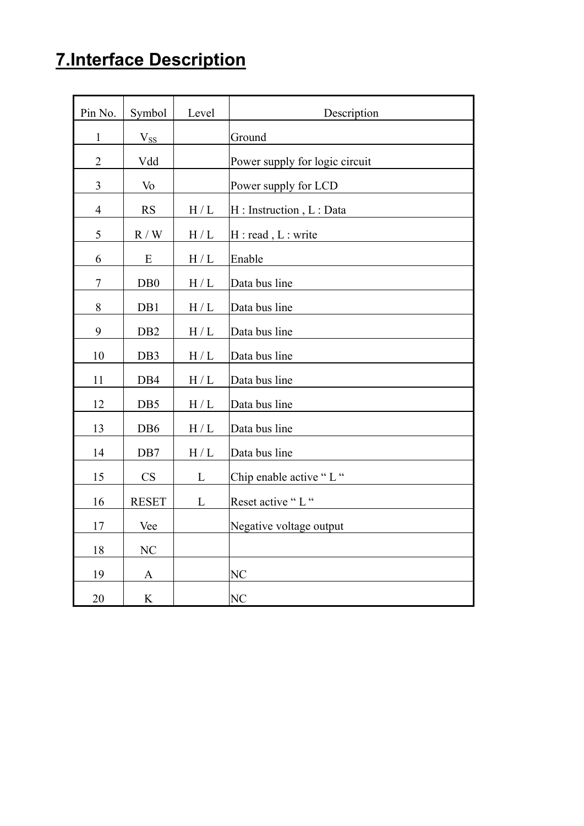### **7.Interface Description**

| Pin No.        | Symbol                      | Level             | Description                    |
|----------------|-----------------------------|-------------------|--------------------------------|
| $\mathbf{1}$   | $V_{SS}$                    |                   | Ground                         |
| $\overline{2}$ | Vdd                         |                   | Power supply for logic circuit |
| $\mathfrak{Z}$ | V <sub>o</sub>              |                   | Power supply for LCD           |
| $\overline{4}$ | RS                          | H/L               | H: Instruction, L: Data        |
| $\mathfrak s$  | $\mathbb{R}$ / $\mathbb{W}$ | $\rm H$ / $\rm L$ | H : read, L : write            |
| 6              | E                           | $\rm H$ / $\rm L$ | Enable                         |
| $\tau$         | D <sub>B</sub> 0            | $\rm H$ / $\rm L$ | Data bus line                  |
| 8              | DB1                         | H/L               | Data bus line                  |
| 9              | DB <sub>2</sub>             | $\rm H$ / $\rm L$ | Data bus line                  |
| 10             | DB3                         | $\rm H$ / $\rm L$ | Data bus line                  |
| 11             | DB4                         | $\rm H$ / $\rm L$ | Data bus line                  |
| 12             | DB5                         | H/L               | Data bus line                  |
| 13             | D <sub>B6</sub>             | H/L               | Data bus line                  |
| 14             | DB7                         | H/L               | Data bus line                  |
| 15             | CS                          | L                 | Chip enable active "L"         |
| 16             | <b>RESET</b>                | L                 | Reset active "L"               |
| 17             | Vee                         |                   | Negative voltage output        |
| 18             | NC                          |                   |                                |
| 19             | $\mathbf{A}$                |                   | NC                             |
| 20             | $\rm K$                     |                   | NC                             |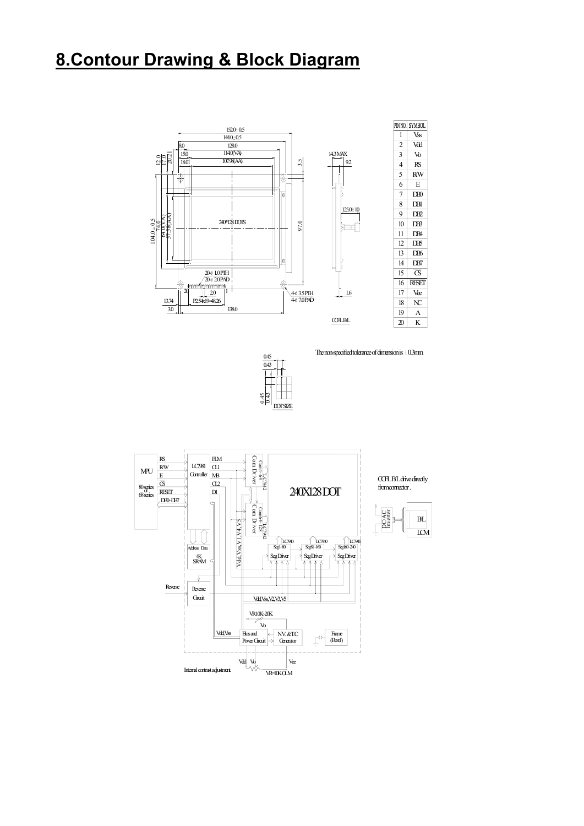### **8.Contour Drawing & Block Diagram**





The non-specified tolerance of dimension is  $\pm 0.3$ mm.





 $W = 10K$   $M$ 

from connector . CCFL B/L drive directly

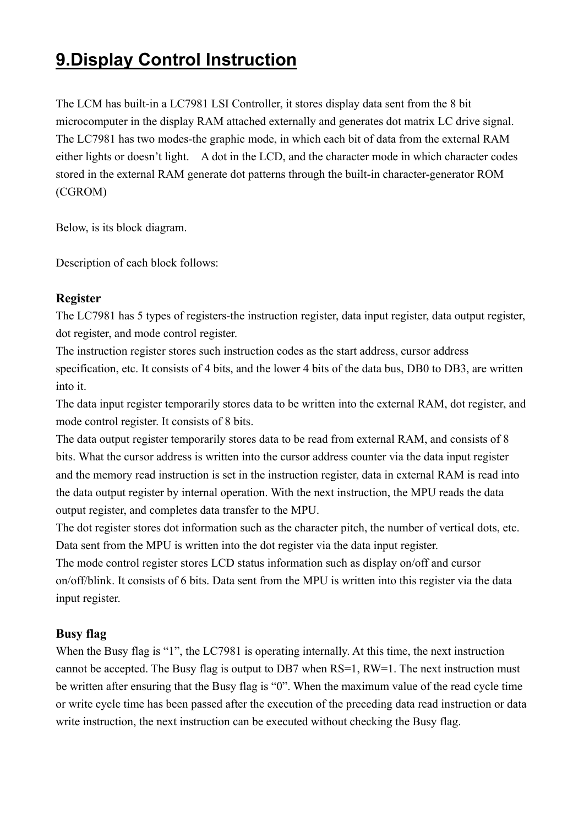### **9.Display Control Instruction**

The LCM has built-in a LC7981 LSI Controller, it stores display data sent from the 8 bit microcomputer in the display RAM attached externally and generates dot matrix LC drive signal. The LC7981 has two modes-the graphic mode, in which each bit of data from the external RAM either lights or doesn't light. A dot in the LCD, and the character mode in which character codes stored in the external RAM generate dot patterns through the built-in character-generator ROM (CGROM)

Below, is its block diagram.

Description of each block follows:

#### **Register**

The LC7981 has 5 types of registers-the instruction register, data input register, data output register, dot register, and mode control register.

The instruction register stores such instruction codes as the start address, cursor address specification, etc. It consists of 4 bits, and the lower 4 bits of the data bus, DB0 to DB3, are written into it.

The data input register temporarily stores data to be written into the external RAM, dot register, and mode control register. It consists of 8 bits.

The data output register temporarily stores data to be read from external RAM, and consists of 8 bits. What the cursor address is written into the cursor address counter via the data input register and the memory read instruction is set in the instruction register, data in external RAM is read into the data output register by internal operation. With the next instruction, the MPU reads the data output register, and completes data transfer to the MPU.

The dot register stores dot information such as the character pitch, the number of vertical dots, etc. Data sent from the MPU is written into the dot register via the data input register.

The mode control register stores LCD status information such as display on/off and cursor on/off/blink. It consists of 6 bits. Data sent from the MPU is written into this register via the data input register.

#### **Busy flag**

When the Busy flag is "1", the LC7981 is operating internally. At this time, the next instruction cannot be accepted. The Busy flag is output to DB7 when RS=1, RW=1. The next instruction must be written after ensuring that the Busy flag is "0". When the maximum value of the read cycle time or write cycle time has been passed after the execution of the preceding data read instruction or data write instruction, the next instruction can be executed without checking the Busy flag.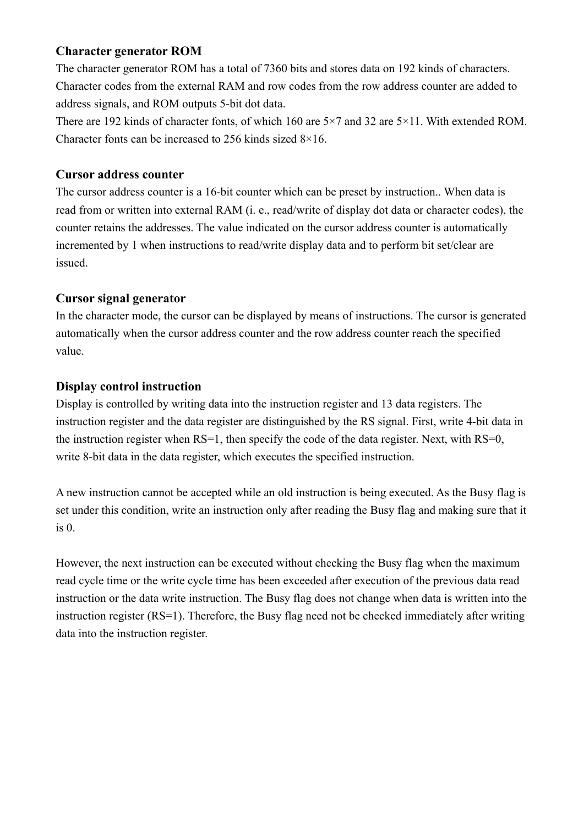#### **Character generator ROM**

The character generator ROM has a total of 7360 bits and stores data on 192 kinds of characters. Character codes from the external RAM and row codes from the row address counter are added to address signals, and ROM outputs 5-bit dot data.

There are 192 kinds of character fonts, of which 160 are 5×7 and 32 are 5×11. With extended ROM. Character fonts can be increased to 256 kinds sized 8×16.

#### **Cursor address counter**

The cursor address counter is a 16-bit counter which can be preset by instruction.. When data is read from or written into external RAM (i. e., read/write of display dot data or character codes), the counter retains the addresses. The value indicated on the cursor address counter is automatically incremented by 1 when instructions to read/write display data and to perform bit set/clear are issued.

#### **Cursor signal generator**

In the character mode, the cursor can be displayed by means of instructions. The cursor is generated automatically when the cursor address counter and the row address counter reach the specified value.

#### **Display control instruction**

Display is controlled by writing data into the instruction register and 13 data registers. The instruction register and the data register are distinguished by the RS signal. First, write 4-bit data in the instruction register when RS=1, then specify the code of the data register. Next, with RS=0, write 8-bit data in the data register, which executes the specified instruction.

A new instruction cannot be accepted while an old instruction is being executed. As the Busy flag is set under this condition, write an instruction only after reading the Busy flag and making sure that it is 0.

However, the next instruction can be executed without checking the Busy flag when the maximum read cycle time or the write cycle time has been exceeded after execution of the previous data read instruction or the data write instruction. The Busy flag does not change when data is written into the instruction register (RS=1). Therefore, the Busy flag need not be checked immediately after writing data into the instruction register.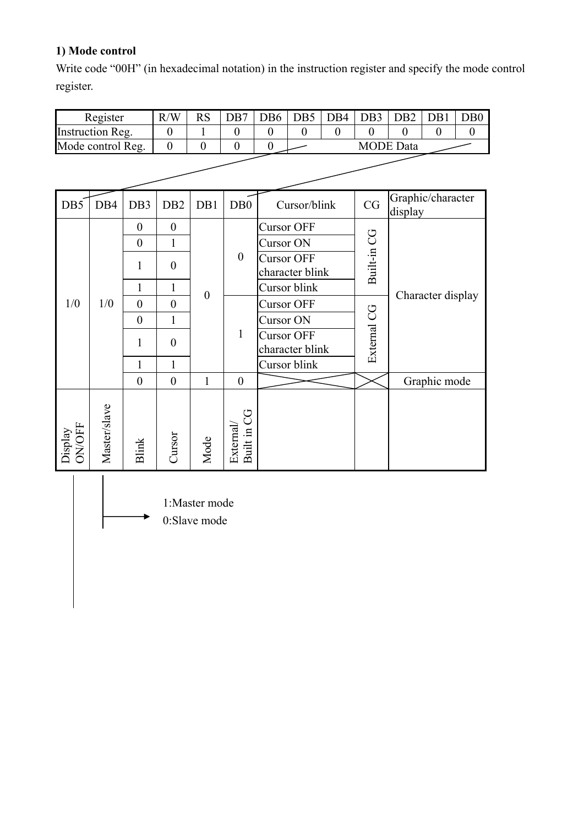#### **1) Mode control**

Write code "00H" (in hexadecimal notation) in the instruction register and specify the mode control register.

|                   | Register                                                                                      |                  | R/W              | <b>RS</b>        | DB7                     | DB <sub>6</sub> | DB5                                  | DB4          | DB <sub>3</sub> | DB <sub>2</sub>                                                   | DB1      | DB <sub>0</sub>  |  |
|-------------------|-----------------------------------------------------------------------------------------------|------------------|------------------|------------------|-------------------------|-----------------|--------------------------------------|--------------|-----------------|-------------------------------------------------------------------|----------|------------------|--|
|                   | <b>Instruction Reg.</b>                                                                       |                  | $\theta$         | 1                | $\boldsymbol{0}$        | $\overline{0}$  | $\theta$                             | $\mathbf{0}$ | $\overline{0}$  | $\theta$                                                          | $\theta$ | $\boldsymbol{0}$ |  |
|                   | Mode control Reg.<br>$\boldsymbol{0}$<br>$\boldsymbol{0}$<br>$\mathbf{0}$<br>$\boldsymbol{0}$ |                  |                  |                  |                         |                 |                                      |              |                 | <b>MODE</b> Data                                                  |          |                  |  |
|                   |                                                                                               |                  |                  |                  |                         |                 |                                      |              |                 |                                                                   |          |                  |  |
| DB5               | DB4<br>DB <sub>3</sub><br>DB <sub>2</sub><br>DB1<br>Cursor/blink<br>D <sub>B</sub> 0          |                  |                  |                  |                         |                 |                                      |              | CG              | Graphic/character<br>display<br>Character display<br>Graphic mode |          |                  |  |
|                   |                                                                                               | $\overline{0}$   | $\boldsymbol{0}$ |                  |                         |                 | <b>Cursor OFF</b>                    |              |                 |                                                                   |          |                  |  |
|                   |                                                                                               | $\boldsymbol{0}$ | $\mathbf{1}$     |                  |                         | Cursor ON       |                                      |              |                 |                                                                   |          |                  |  |
| $\mathbf{1}$      |                                                                                               |                  | $\boldsymbol{0}$ |                  | $\boldsymbol{0}$        |                 | <b>Cursor OFF</b><br>character blink |              | Built-in CG     |                                                                   |          |                  |  |
|                   | 1                                                                                             |                  | $\mathbf{1}$     | $\boldsymbol{0}$ |                         |                 | Cursor blink                         |              |                 |                                                                   |          |                  |  |
| 1/0               | 1/0                                                                                           | $\mathbf{0}$     | $\overline{0}$   |                  |                         |                 | <b>Cursor OFF</b>                    |              |                 |                                                                   |          |                  |  |
|                   |                                                                                               | $\boldsymbol{0}$ | 1                |                  |                         | Cursor ON       |                                      |              |                 |                                                                   |          |                  |  |
|                   |                                                                                               | $\mathbf{1}$     | $\boldsymbol{0}$ |                  | $\mathbf{1}$            |                 | <b>Cursor OFF</b><br>character blink |              | External CG     |                                                                   |          |                  |  |
|                   |                                                                                               | $\mathbf{1}$     | $\mathbf{1}$     |                  |                         |                 | Cursor blink                         |              |                 |                                                                   |          |                  |  |
|                   |                                                                                               | $\boldsymbol{0}$ | $\boldsymbol{0}$ | $\mathbf{1}$     | $\boldsymbol{0}$        |                 |                                      |              |                 |                                                                   |          |                  |  |
| Display<br>ON/OFF | Master/slave                                                                                  | <b>Blink</b>     | Cursor           | Mode             | Built in CG<br>External |                 |                                      |              |                 |                                                                   |          |                  |  |

1:Master mode

0:Slave mode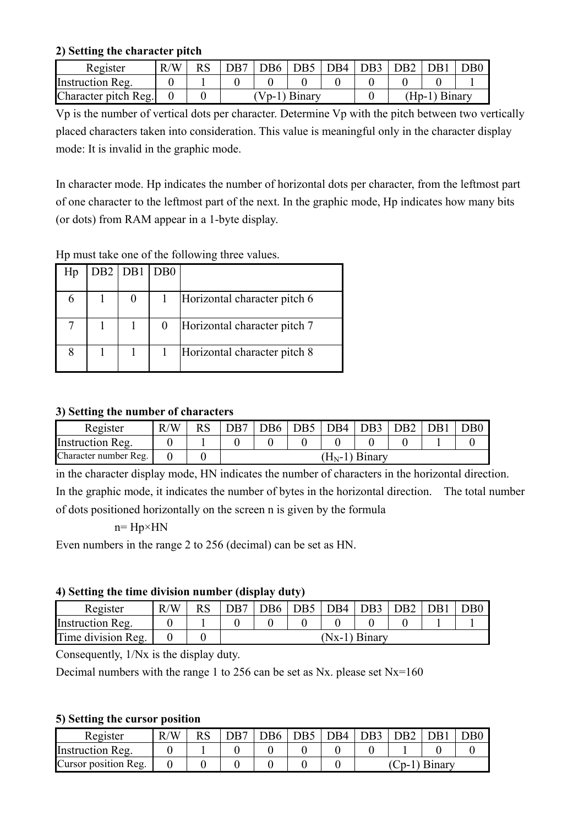#### **2) Setting the character pitch**

| Register             | R/W |  | DB <sub>6</sub> | DB <sub>5</sub> | $\overline{\phantom{0}}$ DB4 | DB <sub>3</sub> | l DB2 |               | D <sub>B0</sub> |
|----------------------|-----|--|-----------------|-----------------|------------------------------|-----------------|-------|---------------|-----------------|
| Instruction Reg.     |     |  |                 |                 |                              |                 |       |               |                 |
| Character pitch Reg. |     |  |                 | Vp-1) Binary    |                              |                 |       | (Hp-1) Binary |                 |

Vp is the number of vertical dots per character. Determine Vp with the pitch between two vertically placed characters taken into consideration. This value is meaningful only in the character display mode: It is invalid in the graphic mode.

In character mode. Hp indicates the number of horizontal dots per character, from the leftmost part of one character to the leftmost part of the next. In the graphic mode, Hp indicates how many bits (or dots) from RAM appear in a 1-byte display.

| Hp | DB <sub>2</sub> | $DB1$ $DB0$ |                              |
|----|-----------------|-------------|------------------------------|
|    |                 |             | Horizontal character pitch 6 |
|    |                 |             | Horizontal character pitch 7 |
|    |                 |             | Horizontal character pitch 8 |

#### Hp must take one of the following three values.

#### **3) Setting the number of characters**

| Register              | R/W | DR7 | DB6 | $\overline{DB5}$ | DB4 | $\overline{DB3}$ | D <sub>B2</sub> | DB1 | $\rm DB0$ |
|-----------------------|-----|-----|-----|------------------|-----|------------------|-----------------|-----|-----------|
| Instruction Reg.      |     |     |     |                  |     |                  |                 |     |           |
| Character number Reg. |     |     |     |                  |     | $(H_N-1)$ Binary |                 |     |           |

in the character display mode, HN indicates the number of characters in the horizontal direction. In the graphic mode, it indicates the number of bytes in the horizontal direction. The total number of dots positioned horizontally on the screen n is given by the formula

#### $n= Hp \times HN$

Even numbers in the range 2 to 256 (decimal) can be set as HN.

#### **4) Setting the time division number (display duty)**

| . .                |               |                 |                 | . .                          |  |           |  |     |  |  |
|--------------------|---------------|-----------------|-----------------|------------------------------|--|-----------|--|-----|--|--|
| Register           | $\Delta$<br>R | D <sub>R7</sub> | D <sub>B6</sub> | $\mid$ DB5 $\mid$ DB4 $\mid$ |  | DB3   DB2 |  | DB1 |  |  |
| Instruction Reg.   |               |                 |                 |                              |  |           |  |     |  |  |
| Time division Reg. |               | (Nx-1) Binary   |                 |                              |  |           |  |     |  |  |

Consequently, 1/Nx is the display duty.

Decimal numbers with the range 1 to 256 can be set as Nx. please set Nx=160

#### **5) Setting the cursor position**

| Register             | R/W | DB7 | D <sub>B6</sub> | $\overline{1}$ DB5 $\overline{1}$ . | DB4 | DB <sub>3</sub> | DB <sub>2</sub> |  | DB0 |
|----------------------|-----|-----|-----------------|-------------------------------------|-----|-----------------|-----------------|--|-----|
| Instruction Reg.     |     |     |                 |                                     |     |                 |                 |  |     |
| Cursor position Reg. |     |     |                 |                                     |     | (Cp-1) Binary   |                 |  |     |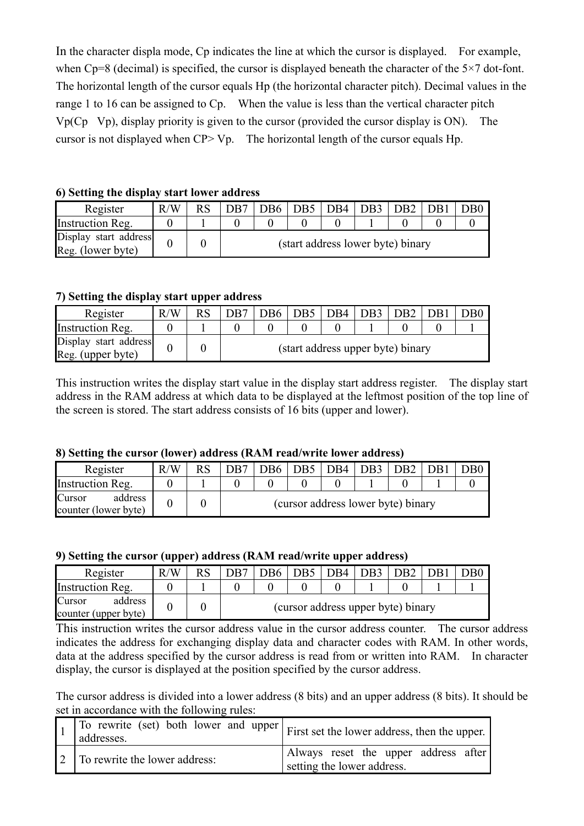In the character displa mode, Cp indicates the line at which the cursor is displayed. For example, when Cp=8 (decimal) is specified, the cursor is displayed beneath the character of the  $5\times7$  dot-font. The horizontal length of the cursor equals Hp (the horizontal character pitch). Decimal values in the range 1 to 16 can be assigned to Cp. When the value is less than the vertical character pitch  $Vp(Cp\ Vp)$ , display priority is given to the cursor (provided the cursor display is ON). The cursor is not displayed when CP> Vp. The horizontal length of the cursor equals Hp.

|  |  |  |  |  |  | 6) Setting the display start lower address |  |
|--|--|--|--|--|--|--------------------------------------------|--|
|--|--|--|--|--|--|--------------------------------------------|--|

| Register                                   | R/W |                                   |  | DB6   DB5   DB4   DB3   DB2 |  |  |  | DB <sub>1</sub> | DB0. |  |
|--------------------------------------------|-----|-----------------------------------|--|-----------------------------|--|--|--|-----------------|------|--|
| Instruction Reg.                           |     |                                   |  |                             |  |  |  |                 |      |  |
| Display start address<br>Reg. (lower byte) |     | (start address lower byte) binary |  |                             |  |  |  |                 |      |  |

#### **7) Setting the display start upper address**

| Register                                   | R/W | D <sub>R7</sub>                   |  | DB6   DB5   DB4   DB3   DB2 |  |  |  | DB1 |  |  |
|--------------------------------------------|-----|-----------------------------------|--|-----------------------------|--|--|--|-----|--|--|
| Instruction Reg.                           |     |                                   |  |                             |  |  |  |     |  |  |
| Display start address<br>Reg. (upper byte) |     | (start address upper byte) binary |  |                             |  |  |  |     |  |  |

This instruction writes the display start value in the display start address register. The display start address in the RAM address at which data to be displayed at the leftmost position of the top line of the screen is stored. The start address consists of 16 bits (upper and lower).

#### **8) Setting the cursor (lower) address (RAM read/write lower address)**

| Register                                  | R/W | <b>RS</b> | DB7                                |  | $\vert$ DB6 $\vert$ DB5 $\vert$ DB4 $\vert$ DB3 |  |  | D <sub>B</sub> 2 |  | DB0 |
|-------------------------------------------|-----|-----------|------------------------------------|--|-------------------------------------------------|--|--|------------------|--|-----|
| Instruction Reg.                          |     |           |                                    |  |                                                 |  |  |                  |  |     |
| address<br>Cursor<br>counter (lower byte) |     |           | (cursor address lower byte) binary |  |                                                 |  |  |                  |  |     |

#### **9) Setting the cursor (upper) address (RAM read/write upper address)**

| Register                                  | R/W | DB7                                |  | DB6   DB5   DB4 |  | D <sub>B</sub> 3 | DB2 |  |  |
|-------------------------------------------|-----|------------------------------------|--|-----------------|--|------------------|-----|--|--|
| Instruction Reg.                          |     |                                    |  |                 |  |                  |     |  |  |
| address<br>Cursor<br>counter (upper byte) |     | (cursor address upper byte) binary |  |                 |  |                  |     |  |  |

This instruction writes the cursor address value in the cursor address counter. The cursor address indicates the address for exchanging display data and character codes with RAM. In other words, data at the address specified by the cursor address is read from or written into RAM. In character display, the cursor is displayed at the position specified by the cursor address.

The cursor address is divided into a lower address (8 bits) and an upper address (8 bits). It should be set in accordance with the following rules:

| $\sqrt{1}$ To rewrite (set) both lower and upper $\vert$ First set the lower address, then the upper.<br>addresses. |                                                                    |
|---------------------------------------------------------------------------------------------------------------------|--------------------------------------------------------------------|
| 2 To rewrite the lower address:                                                                                     | Always reset the upper address after<br>setting the lower address. |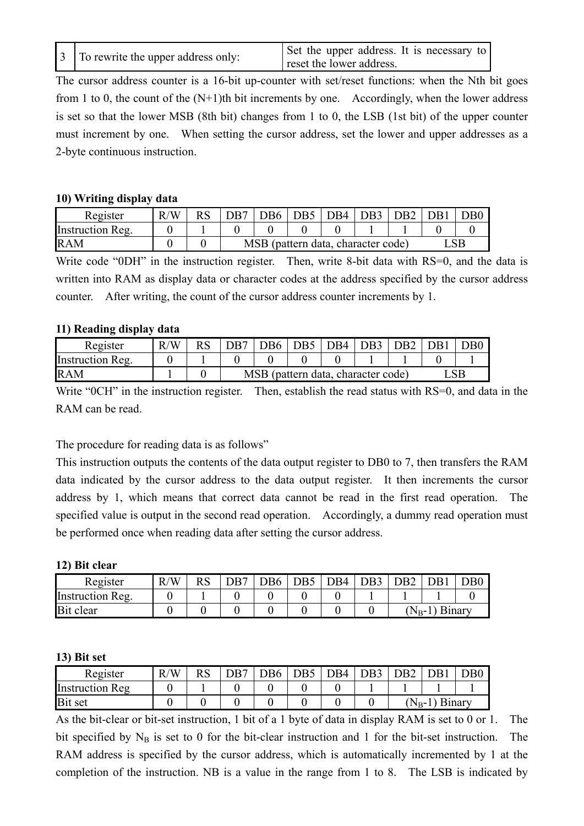|  | 3 To rewrite the upper address only: | Set the upper address. It is necessary to<br>reset the lower address. |
|--|--------------------------------------|-----------------------------------------------------------------------|
|--|--------------------------------------|-----------------------------------------------------------------------|

The cursor address counter is a 16-bit up-counter with set/reset functions: when the Nth bit goes from 1 to 0, the count of the  $(N+1)$ th bit increments by one. Accordingly, when the lower address is set so that the lower MSB (8th bit) changes from 1 to 0, the LSB (1st bit) of the upper counter must increment by one. When setting the cursor address, set the lower and upper addresses as a 2-byte continuous instruction.

#### **10) Writing display data**

| Register         | /W<br>R |                                    | $DB6$ DB5 | IDB4   DB3 | LDR2 | l DR1 | DB0 |
|------------------|---------|------------------------------------|-----------|------------|------|-------|-----|
| Instruction Reg. |         |                                    |           |            |      |       |     |
| <b>RAM</b>       |         | MSB (pattern data, character code) |           |            |      |       |     |

Write code "0DH" in the instruction register. Then, write 8-bit data with RS=0, and the data is written into RAM as display data or character codes at the address specified by the cursor address counter. After writing, the count of the cursor address counter increments by 1.

#### **11) Reading display data**

| Register         | /W | D <sub>B7</sub> | $\vert$ DB6 $\vert$ DB5            | DB4 | $\overline{\phantom{0}}$ DB3 | D <sub>B</sub> 2 | DB1 | DB0 |
|------------------|----|-----------------|------------------------------------|-----|------------------------------|------------------|-----|-----|
| Instruction Reg. |    |                 |                                    |     |                              |                  |     |     |
| <b>RAM</b>       |    |                 | MSB (pattern data, character code) |     |                              |                  |     |     |

Write "0CH" in the instruction register. Then, establish the read status with RS=0, and data in the RAM can be read.

The procedure for reading data is as follows"

This instruction outputs the contents of the data output register to DB0 to 7, then transfers the RAM data indicated by the cursor address to the data output register. It then increments the cursor address by 1, which means that correct data cannot be read in the first read operation. The specified value is output in the second read operation. Accordingly, a dummy read operation must be performed once when reading data after setting the cursor address.

#### **12) Bit clear**

| Register         | /W<br>R | <u>ר ה</u> | DR7 | DB6 | DB4 | DB <sub>3</sub> | )B2                   |  | )B0 |
|------------------|---------|------------|-----|-----|-----|-----------------|-----------------------|--|-----|
| Instruction Reg. |         |            |     |     |     |                 |                       |  |     |
| Bit clear        |         |            |     |     |     |                 | Binary<br>$N_{B^-}$ . |  |     |

#### **13) Bit set**

| Register               | /N<br>R | <b>RS</b> | DR7 | DB <sub>6</sub> | DB5 | $\mathcal{D} \mathcal{B}4$ | DR3 |           | <b>DB1</b>    | )B( |
|------------------------|---------|-----------|-----|-----------------|-----|----------------------------|-----|-----------|---------------|-----|
| <b>Instruction Reg</b> |         |           |     |                 |     |                            |     |           |               |     |
| <b>Bit set</b>         |         |           |     |                 |     |                            |     | $N_{B}$ - | <b>Binary</b> |     |

As the bit-clear or bit-set instruction, 1 bit of a 1 byte of data in display RAM is set to 0 or 1. The bit specified by  $N_B$  is set to 0 for the bit-clear instruction and 1 for the bit-set instruction. The RAM address is specified by the cursor address, which is automatically incremented by 1 at the completion of the instruction. NB is a value in the range from 1 to 8. The LSB is indicated by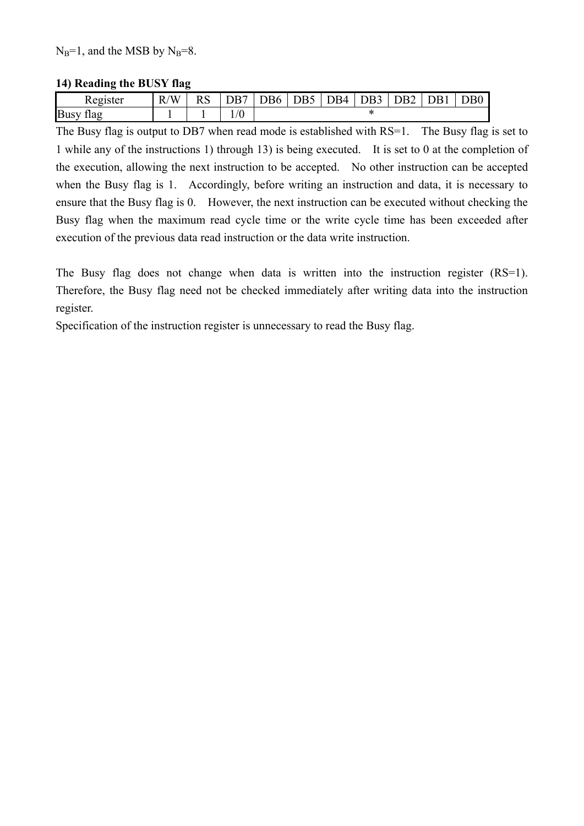$N_B=1$ , and the MSB by  $N_B=8$ .

#### **14) Reading the BUSY flag**

| Register            | R/W | $\mathbf{D}$ $\alpha$<br>KS | $\mathbf{L}\mathbf{L}$<br>۱К | $\overline{OB6}$ | DB5 | DB4 | <b>DD</b><br>)B3 | JB2 | <b>DR</b> L | $\text{DB}0$ |
|---------------------|-----|-----------------------------|------------------------------|------------------|-----|-----|------------------|-----|-------------|--------------|
| <b>Busy</b><br>1lag |     |                             | $\rm ^{\prime}0$             |                  |     |     |                  |     |             |              |

The Busy flag is output to DB7 when read mode is established with RS=1. The Busy flag is set to 1 while any of the instructions 1) through 13) is being executed. It is set to 0 at the completion of the execution, allowing the next instruction to be accepted. No other instruction can be accepted when the Busy flag is 1. Accordingly, before writing an instruction and data, it is necessary to ensure that the Busy flag is 0. However, the next instruction can be executed without checking the Busy flag when the maximum read cycle time or the write cycle time has been exceeded after execution of the previous data read instruction or the data write instruction.

The Busy flag does not change when data is written into the instruction register (RS=1). Therefore, the Busy flag need not be checked immediately after writing data into the instruction register.

Specification of the instruction register is unnecessary to read the Busy flag.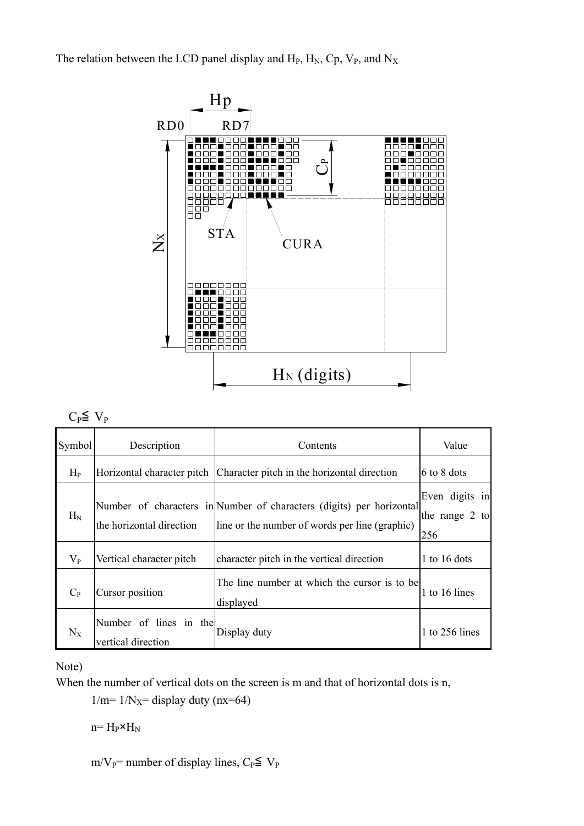The relation between the LCD panel display and  $H_P$ ,  $H_N$ ,  $C_p$ ,  $V_P$ , and  $N_X$ 



### $C_P \leq V_P$

| Symbol  | Description                                  | Contents                                                                                                               | Value                                   |
|---------|----------------------------------------------|------------------------------------------------------------------------------------------------------------------------|-----------------------------------------|
| $H_{P}$ | Horizontal character pitch                   | Character pitch in the horizontal direction                                                                            | 6 to 8 dots                             |
| $H_N$   | the horizontal direction                     | Number of characters in Number of characters (digits) per horizontal<br>line or the number of words per line (graphic) | Even digits in<br>the range 2 to<br>256 |
| $V_{P}$ | Vertical character pitch                     | character pitch in the vertical direction                                                                              | 1 to 16 dots                            |
| $C_{P}$ | Cursor position                              | The line number at which the cursor is to be<br>displayed                                                              | 1 to 16 lines                           |
| $N_X$   | Number of lines in the<br>vertical direction | Display duty                                                                                                           | 1 to $256$ lines                        |

Note)

When the number of vertical dots on the screen is m and that of horizontal dots is n,

 $1/m=1/N<sub>X</sub>=$  display duty (nx=64)

 $n= H_P \times H_N$ 

m/V<sub>P</sub>= number of display lines,  $C_P \leq V_P$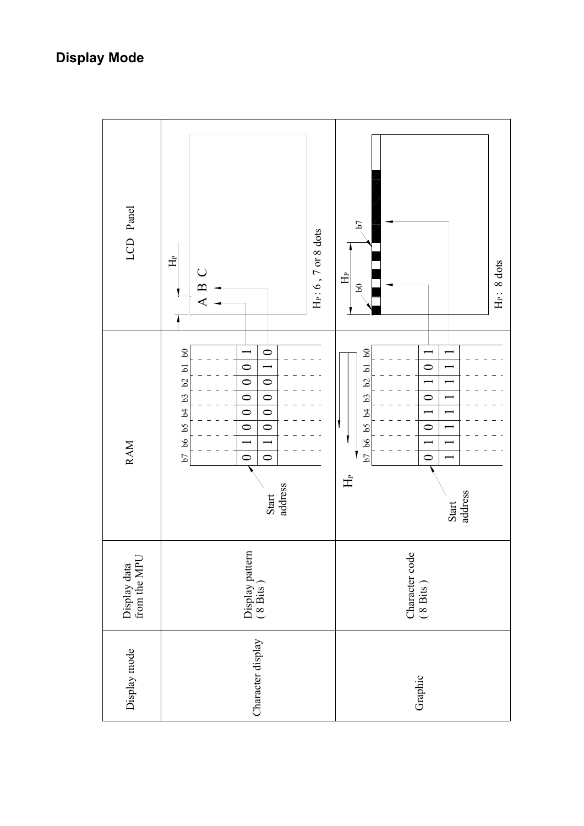### **Display Mode**

| LCD Panel                    | He: $6$ , $7$ or $8$ dots<br>$\hat{H}$<br>$\bigcup$<br>$\mathbf{\Omega}$<br>$\blacktriangleleft$                                                                                                                                                                                                                                                                                                                                                      | $\mathcal{L} \mathbf{q}$<br>H <sub>P</sub> : 8 dots<br>$\triangle$<br>$\mathsf{S}$                                                                                                   |
|------------------------------|-------------------------------------------------------------------------------------------------------------------------------------------------------------------------------------------------------------------------------------------------------------------------------------------------------------------------------------------------------------------------------------------------------------------------------------------------------|--------------------------------------------------------------------------------------------------------------------------------------------------------------------------------------|
| <b>RAM</b>                   | $^{60}$<br>$\circ$<br>$\begin{array}{ c c } \hline 0 & 0 \\ \hline \end{array}$<br>$\overline{\phantom{0}}$<br>b7 b6 b5 b4 b3 b2 b1<br>$\overline{\circ}$<br>$\begin{array}{ c c } \hline \text{o} & \text{o} \\\hline \end{array}$<br>$\overline{\bigcirc}$<br>$\overline{\circ}$<br>$\boxed{\circ}$<br>$\overline{\circ}$<br>$\overline{\phantom{0}}$<br>$\overline{\phantom{0}}$<br>$\overline{\circ}$<br>$\overline{\bullet}$<br>address<br>Start | $\mathfrak{g}$<br>$\circ$<br>$\overline{a}$<br>$\mathcal{Q}$<br>$\circ$<br>63<br>b7 b6 b5 b4<br>$\circ$<br>$\overline{\phantom{0}}$<br>$\ddot{\phantom{0}}$<br>士<br>Start<br>address |
| Display data<br>from the MPU | Display pattern<br>(8 Bits)                                                                                                                                                                                                                                                                                                                                                                                                                           | Character code (8 Bits)                                                                                                                                                              |
| Display mode                 | Character display                                                                                                                                                                                                                                                                                                                                                                                                                                     | Graphic                                                                                                                                                                              |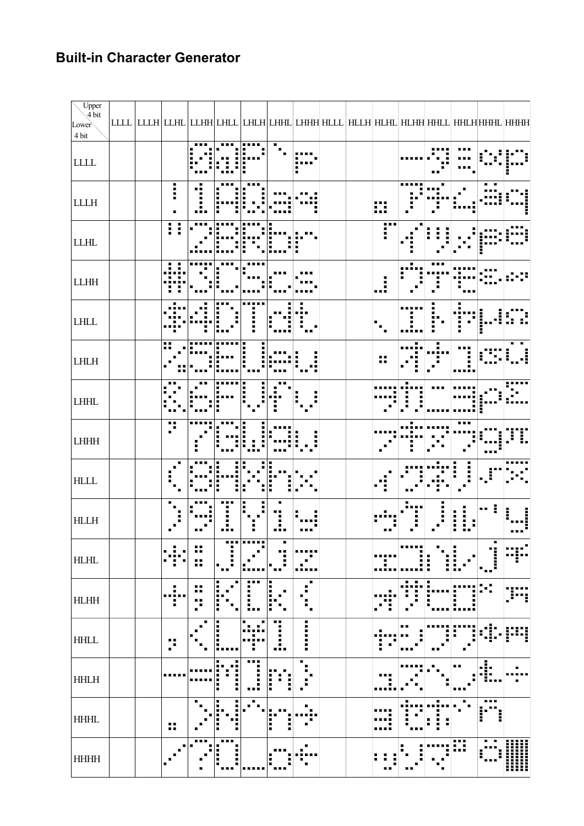### **Built-in Character Generator**

| Upper<br>4 bit<br>Lower<br>$4\,\mathrm{bit}$ | LLLL   LLLH   LLHL   LLHH   LHLL   LHHL   LHHH   HLLL   HLLH   HLHL   HLHH   HHLL   HHLH   HHHL   HHHH |                                   |                        |                                                |                          |                  |                       |  |                     |        |         |                                          |                               |             |
|----------------------------------------------|--------------------------------------------------------------------------------------------------------|-----------------------------------|------------------------|------------------------------------------------|--------------------------|------------------|-----------------------|--|---------------------|--------|---------|------------------------------------------|-------------------------------|-------------|
| $\textbf{LLL} \textbf{}$                     |                                                                                                        |                                   |                        |                                                |                          |                  | П                     |  |                     |        |         |                                          |                               |             |
| ${\rm L}{\rm L}{\rm L}{\rm H}$               |                                                                                                        | i                                 |                        |                                                |                          |                  |                       |  | m                   |        |         |                                          |                               |             |
| ${\rm L LHL}$                                |                                                                                                        | I<br>ł                            |                        |                                                |                          |                  |                       |  | po.<br>Η            |        |         |                                          |                               |             |
| ${\rm LLHH}$                                 |                                                                                                        |                                   |                        |                                                |                          |                  |                       |  | $\ddot{.}$          |        |         |                                          |                               |             |
| $\mbox{LHLL}$                                |                                                                                                        |                                   |                        |                                                |                          |                  |                       |  | ٠<br>$\blacksquare$ |        |         |                                          |                               |             |
| $LHLH$                                       |                                                                                                        | H                                 |                        |                                                |                          |                  |                       |  | ■■<br>n n           |        |         |                                          |                               |             |
| $\mbox{LHHL}$                                |                                                                                                        |                                   |                        |                                                |                          |                  |                       |  |                     |        |         |                                          |                               |             |
| ${\rm LHHH}$                                 |                                                                                                        | 4<br>$\blacksquare$               |                        |                                                |                          |                  |                       |  |                     |        |         |                                          |                               |             |
| $\operatorname{HLLL}$                        |                                                                                                        |                                   |                        | Η                                              |                          |                  |                       |  | ă                   |        |         |                                          |                               |             |
| $\operatorname{HLLH}$                        |                                                                                                        |                                   |                        |                                                |                          | Α.               |                       |  |                     |        | i       | п<br>Ī<br>$\blacksquare$<br>i.<br>ī<br>H | m m                           |             |
| $\operatorname{HLHL}$                        |                                                                                                        |                                   | . .<br>œ<br>. .<br>. . | ■                                              |                          | п<br>■           |                       |  |                     | ■<br>ī | i<br>■  | п<br>ī                                   | j                             |             |
| $\rm H L H H$                                |                                                                                                        | п<br>$\blacksquare$<br><br>п<br>п | пπ<br>ш<br><br>п<br>n  | i.<br>!<br>Е<br>п<br>$\blacksquare$            | .<br>$\blacksquare$<br>E | i<br>п<br>п<br>H | Е<br>■<br>п<br>٠<br>п |  |                     |        | ŧ.<br>H | H<br>Г<br>■<br>$\blacksquare$            |                               |             |
| $\mbox{HHLL}$                                |                                                                                                        | ■■<br>п<br>$\blacksquare$         |                        | i<br>٠                                         |                          | п<br>Ω.          | i<br>H                |  |                     | пп     |         |                                          |                               | I           |
| $\operatorname{HHLH}$                        |                                                                                                        | .                                 |                        | ■<br>в<br>■<br>i<br>n<br>п<br>п<br>п<br>٠<br>п | Ī<br>в                   | i<br>H<br>E<br>п | п<br>п<br>п<br>п      |  |                     |        |         | ■■                                       | .1.<br>$\blacksquare$<br>inna | п           |
| $\mbox{HHHL}$                                |                                                                                                        | H                                 |                        | п<br>Ì<br>п<br>п<br>п<br>п                     |                          | ī<br>i<br>Ì      | п<br>$\blacksquare$   |  |                     |        | п       |                                          | Ē                             |             |
| <b>HHHH</b>                                  |                                                                                                        |                                   |                        | l<br>H<br>п<br>п<br>п                          |                          | Е<br>П           | п                     |  | п.                  |        |         | W                                        | Ę                             | l<br>Ш<br>₩ |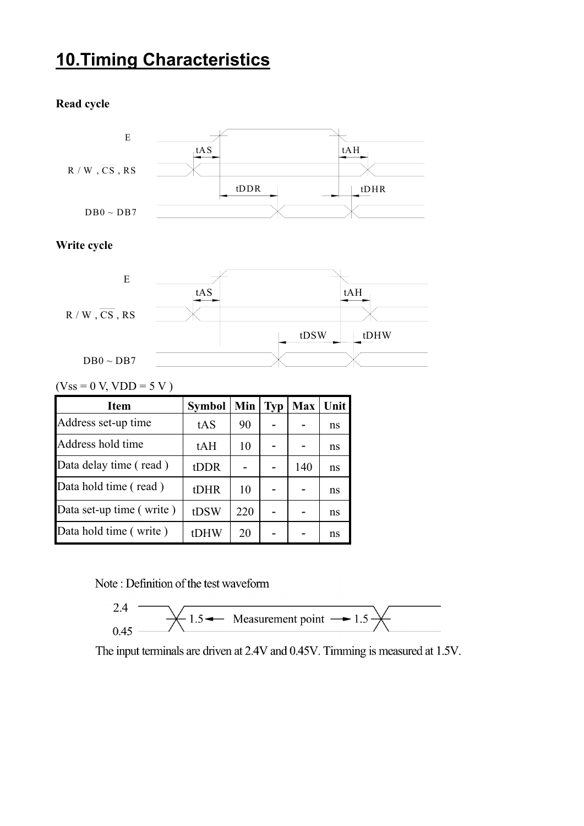### **10.Timing Characteristics**

#### **Read cycle**



#### **Write cycle**



 $(Vss = 0 V, VDD = 5 V)$ 

| <b>Item</b>              | <b>Symbol</b> | Min | <b>Typ</b> | <b>Max</b> | Unit |
|--------------------------|---------------|-----|------------|------------|------|
| Address set-up time      | tAS           | 90  |            |            | ns   |
| Address hold time        | tAH           | 10  |            |            | ns   |
| Data delay time (read)   | tDDR          |     |            | 140        | ns   |
| Data hold time (read)    | tDHR          | 10  |            |            | ns   |
| Data set-up time (write) | tDSW          | 220 |            |            | ns   |
| Data hold time (write)   | tDHW          | 20  |            |            | ns   |

Note: Definition of the test waveform



The input terminals are driven at 2.4V and 0.45V. Timming is measured at 1.5V.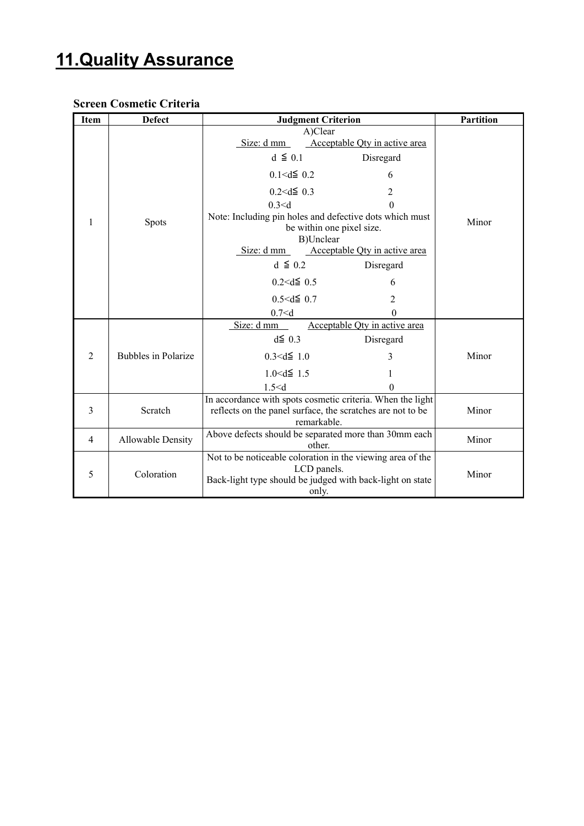### **11.Quality Assurance**

#### **Screen Cosmetic Criteria**

| <b>Item</b>    | <b>Defect</b>              | <b>Judgment Criterion</b>                                                                         | <b>Partition</b>       |  |
|----------------|----------------------------|---------------------------------------------------------------------------------------------------|------------------------|--|
|                |                            | A)Clear                                                                                           |                        |  |
|                |                            | Acceptable Qty in active area<br>Size: d mm                                                       |                        |  |
|                |                            | $d \leq 0.1$<br>Disregard                                                                         |                        |  |
|                |                            | $0.1 < d \leq 0.2$<br>6                                                                           |                        |  |
|                |                            | $0.2 < d \le 0.3$<br>$\overline{2}$                                                               |                        |  |
|                |                            | 0.3 < d                                                                                           |                        |  |
| 1              | <b>Spots</b>               | Note: Including pin holes and defective dots which must<br>be within one pixel size.<br>B)Unclear | Minor                  |  |
|                |                            | Acceptable Qty in active area<br>Size: $d$ mm                                                     |                        |  |
|                |                            | $d \leq 0.2$<br>Disregard                                                                         |                        |  |
|                |                            |                                                                                                   | $0.2 < d \le 0.5$<br>6 |  |
|                |                            | $0.5 < d \le 0.7$<br>2                                                                            |                        |  |
|                |                            | 0.7 < d<br>0                                                                                      |                        |  |
|                |                            | Size: d mm<br>Acceptable Qty in active area                                                       |                        |  |
|                |                            | $d\leq 0.3$<br>Disregard                                                                          |                        |  |
| $\overline{2}$ | <b>Bubbles in Polarize</b> | $0.3 < d \leq 1.0$<br>3                                                                           | Minor                  |  |
|                |                            | $1.0 \le d \le 1.5$                                                                               |                        |  |
|                |                            | 1.5 < d<br>0                                                                                      |                        |  |
|                |                            | In accordance with spots cosmetic criteria. When the light                                        |                        |  |
| 3              | Scratch                    | reflects on the panel surface, the scratches are not to be                                        | Minor                  |  |
|                |                            | remarkable.                                                                                       |                        |  |
| $\overline{4}$ | <b>Allowable Density</b>   | Above defects should be separated more than 30mm each<br>other.                                   | Minor                  |  |
|                |                            | Not to be noticeable coloration in the viewing area of the                                        |                        |  |
| 5              | Coloration                 | LCD panels.                                                                                       | Minor                  |  |
|                |                            | Back-light type should be judged with back-light on state                                         |                        |  |
|                |                            | only.                                                                                             |                        |  |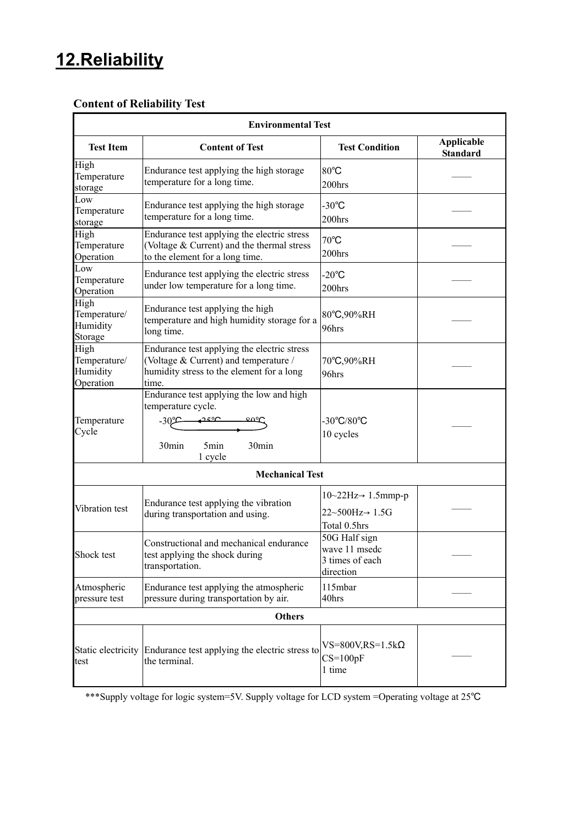### **12.Reliability**

#### **Content of Reliability Test**

|                                               | <b>Environmental Test</b>                                                                                                                    |                                                                                        |                                      |  |  |  |  |  |
|-----------------------------------------------|----------------------------------------------------------------------------------------------------------------------------------------------|----------------------------------------------------------------------------------------|--------------------------------------|--|--|--|--|--|
| <b>Test Item</b>                              | <b>Content of Test</b>                                                                                                                       | <b>Test Condition</b>                                                                  | <b>Applicable</b><br><b>Standard</b> |  |  |  |  |  |
| High<br>Temperature<br>storage                | Endurance test applying the high storage<br>temperature for a long time.                                                                     | 80°C<br>200hrs                                                                         |                                      |  |  |  |  |  |
| Low<br>Temperature<br>storage                 | Endurance test applying the high storage<br>temperature for a long time.                                                                     | $-30^{\circ}$ C<br>200hrs                                                              |                                      |  |  |  |  |  |
| High<br>Temperature<br>Operation              | Endurance test applying the electric stress<br>(Voltage & Current) and the thermal stress<br>to the element for a long time.                 | $70^{\circ}$ C<br>200hrs                                                               |                                      |  |  |  |  |  |
| Low<br>Temperature<br>Operation               | Endurance test applying the electric stress<br>under low temperature for a long time.                                                        | $-20^{\circ}$ C<br>200hrs                                                              |                                      |  |  |  |  |  |
| High<br>Temperature/<br>Humidity<br>Storage   | Endurance test applying the high<br>temperature and high humidity storage for a<br>long time.                                                | 80°C,90%RH<br>96hrs                                                                    |                                      |  |  |  |  |  |
| High<br>Temperature/<br>Humidity<br>Operation | Endurance test applying the electric stress<br>(Voltage & Current) and temperature /<br>humidity stress to the element for a long<br>time.   | 70°C,90%RH<br>96hrs                                                                    |                                      |  |  |  |  |  |
| Temperature<br>Cycle                          | Endurance test applying the low and high<br>temperature cycle.<br>$-30^\circ$ C<br>ഛഘ<br>ഛന<br>30min<br>5min<br>30 <sub>min</sub><br>1 cycle | $-30^{\circ}C/80^{\circ}C$<br>10 cycles                                                |                                      |  |  |  |  |  |
|                                               | <b>Mechanical Test</b>                                                                                                                       |                                                                                        |                                      |  |  |  |  |  |
| Vibration test                                | Endurance test applying the vibration<br>during transportation and using.                                                                    | $10~22Hz \rightarrow 1.5mmp-p$<br>$22 \sim 500$ Hz $\rightarrow 1.5$ G<br>Total 0.5hrs |                                      |  |  |  |  |  |
| Shock test                                    | Constructional and mechanical endurance<br>test applying the shock during<br>transportation.                                                 | 50G Half sign<br>wave 11 msedc<br>3 times of each<br>direction                         |                                      |  |  |  |  |  |
| Atmospheric<br>pressure test                  | Endurance test applying the atmospheric<br>pressure during transportation by air.                                                            | 115mbar<br>40hrs                                                                       |                                      |  |  |  |  |  |
| <b>Others</b>                                 |                                                                                                                                              |                                                                                        |                                      |  |  |  |  |  |
| Static electricity<br>test                    | Endurance test applying the electric stress to<br>the terminal.                                                                              | $VS=800V, RS=1.5k\Omega$<br>$CS=100pF$<br>1 time                                       |                                      |  |  |  |  |  |

\*\*\*Supply voltage for logic system=5V. Supply voltage for LCD system =Operating voltage at 25℃